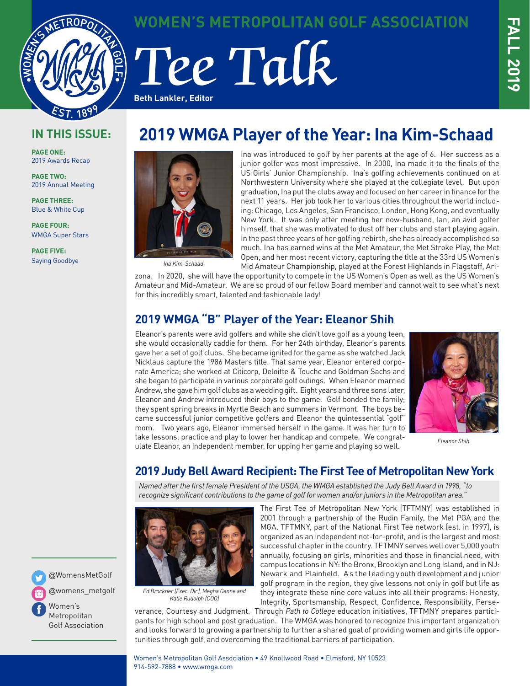

**WOMEN'S METROPOLITAN GOLF ASSOCIATION**

# Tee Talk **Beth Lankler, Editor**

## **IN THIS ISSUE:**

**PAGE ONE:** 2019 Awards Recap

**PAGE TWO:** 2019 Annual Meeting

**PAGE THREE:** Blue & White Cup

**PAGE FOUR:** WMGA Super Stars

**PAGE FIVE:** Saying Goodbye

# **2019 WMGA Player of the Year: Ina Kim-Schaad**



*Ina Kim-Schaad*

Ina was introduced to golf by her parents at the age of 6. Her success as a junior golfer was most impressive. In 2000, Ina made it to the finals of the US Girls' Junior Championship. Ina's golfing achievements continued on at Northwestern University where she played at the collegiate level. But upon graduation, Ina put the clubs away and focused on her career in finance for the next 11 years. Her job took her to various cities throughout the world including: Chicago, Los Angeles, San Francisco, London, Hong Kong, and eventually New York. It was only after meeting her now-husband, Ian, an avid golfer himself, that she was motivated to dust off her clubs and start playing again. In the past three years of her golfing rebirth, she has already accomplished so much. Ina has earned wins at the Met Amateur, the Met Stroke Play, the Met Open, and her most recent victory, capturing the title at the 33rd US Women's Mid Amateur Championship, played at the Forest Highlands in Flagstaff, Ari-

zona. In 2020, she will have the opportunity to compete in the US Women's Open as well as the US Women's Amateur and Mid-Amateur. We are so proud of our fellow Board member and cannot wait to see what's next for this incredibly smart, talented and fashionable lady!

## **2019 WMGA "B" Player of the Year: Eleanor Shih**

Eleanor's parents were avid golfers and while she didn't love golf as a young teen, she would occasionally caddie for them. For her 24th birthday, Eleanor's parents gave her a set of golf clubs. She became ignited for the game as she watched Jack Nicklaus capture the 1986 Masters title. That same year, Eleanor entered corporate America; she worked at Citicorp, Deloitte & Touche and Goldman Sachs and she began to participate in various corporate golf outings. When Eleanor married Andrew, she gave him golf clubs as a wedding gift. Eight years and three sons later, Eleanor and Andrew introduced their boys to the game. Golf bonded the family; they spent spring breaks in Myrtle Beach and summers in Vermont. The boys became successful junior competitive golfers and Eleanor the quintessential "golf" mom. Two years ago, Eleanor immersed herself in the game. It was her turn to take lessons, practice and play to lower her handicap and compete. We congratulate Eleanor, an Independent member, for upping her game and playing so well.



*Eleanor Shih*

## **2019 Judy Bell Award Recipient: The First Tee of Metropolitan New York**

*Named after the first female President of the USGA, the WMGA established the Judy Bell Award in 1998, "to recognize significant contributions to the game of golf for women and/or juniors in the Metropolitan area."* 



*Ed Brockner (Exec. Dir.), Megha Ganne and Katie Rudolph (COO)*

The First Tee of Metropolitan New York [TFTMNY] was established in 2001 through a partnership of the Rudin Family, the Met PGA and the MGA. TFTMNY, part of the National First Tee network [est. in 1997], is organized as an independent not-for-profit, and is the largest and most successful chapter in the country. TFTMNY serves well over 5,000 youth annually, focusing on girls, minorities and those in financial need, with campus locations in NY: the Bronx, Brooklyn and Long Island, and in NJ: Newark and Plainfield. A s the leading youth development and junior golf program in the region, they give lessons not only in golf but life as they integrate these nine core values into all their programs: Honesty, Integrity, Sportsmanship, Respect, Confidence, Responsibility, Perse-

verance, Courtesy and Judgment. Through *Path to College* education initiatives, TFTMNY prepares participants for high school and post graduation. The WMGA was honored to recognize this important organization and looks forward to growing a partnership to further a shared goal of providing women and girls life opportunities through golf, and overcoming the traditional barriers of participation.

Women's Metropolitan Golf Association • 49 Knollwood Road • Elmsford, NY 10523 914-592-7888 • www.wmga.com



@womens\_metgolf Women's

Metropolitan Golf Association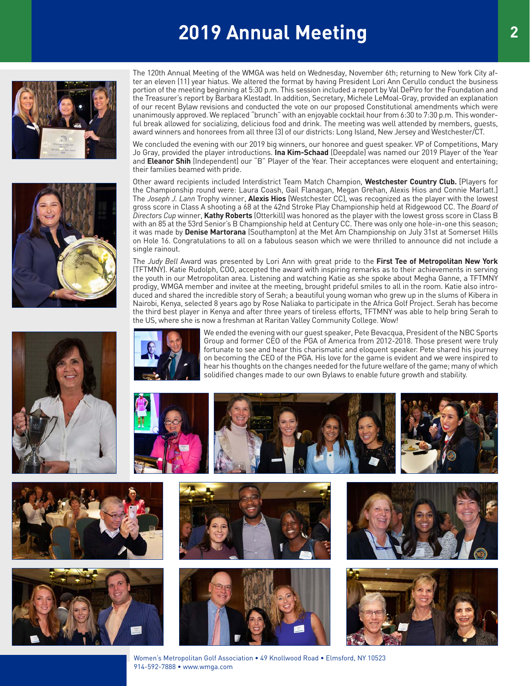# **2019 Annual Meeting**





The 120th Annual Meeting of the WMGA was held on Wednesday, November 6th; returning to New York City after an eleven (11) year hiatus. We altered the format by having President Lori Ann Cerullo conduct the business portion of the meeting beginning at 5:30 p.m. This session included a report by Val DePiro for the Foundation and the Treasurer's report by Barbara Klestadt. In addition, Secretary, Michele LeMoal-Gray, provided an explanation of our recent Bylaw revisions and conducted the vote on our proposed Constitutional amendments which were unanimously approved. We replaced "brunch" with an enjoyable cocktail hour from 6:30 to 7:30 p.m. This wonderful break allowed for socializing, delicious food and drink. The meeting was well attended by members, guests, award winners and honorees from all three (3) of our districts: Long Island, New Jersey and Westchester/CT.

We concluded the evening with our 2019 big winners, our honoree and guest speaker. VP of Competitions, Mary Jo Gray, provided the player introductions. **Ina Kim-Schaad** (Deepdale) was named our 2019 Player of the Year and **Eleanor Shih** (Independent) our "B" Player of the Year. Their acceptances were eloquent and entertaining; their families beamed with pride.

Other award recipients included Interdistrict Team Match Champion, **Westchester Country Club.** [Players for the Championship round were: Laura Coash, Gail Flanagan, Megan Grehan, Alexis Hios and Connie Marlatt.] The *Joseph J. Lann* Trophy winner, **Alexis Hios** (Westchester CC), was recognized as the player with the lowest gross score in Class A shooting a 68 at the 42nd Stroke Play Championship held at Ridgewood CC. The *Board of Directors Cup* winner, **Kathy Roberts** (Otterkill) was honored as the player with the lowest gross score in Class B with an 85 at the 53rd Senior's B Championship held at Century CC. There was only one hole-in-one this season; it was made by **Denise Martorana** (Southampton) at the Met Am Championship on July 31st at Somerset Hills on Hole 16. Congratulations to all on a fabulous season which we were thrilled to announce did not include a single rainout.

The *Judy Bell* Award was presented by Lori Ann with great pride to the **First Tee of Metropolitan New York** (TFTMNY). Katie Rudolph, COO, accepted the award with inspiring remarks as to their achievements in serving the youth in our Metropolitan area. Listening and watching Katie as she spoke about Megha Ganne, a TFTMNY prodigy, WMGA member and invitee at the meeting, brought prideful smiles to all in the room. Katie also introduced and shared the incredible story of Serah; a beautiful young woman who grew up in the slums of Kibera in Nairobi, Kenya, selected 8 years ago by Rose Naliaka to participate in the Africa Golf Project. Serah has become the third best player in Kenya and after three years of tireless efforts, TFTMNY was able to help bring Serah to the US, where she is now a freshman at Raritan Valley Community College. Wow!







We ended the evening with our guest speaker, Pete Bevacqua, President of the NBC Sports Group and former CEO of the PGA of America from 2012-2018. Those present were truly fortunate to see and hear this charismatic and eloquent speaker. Pete shared his journey on becoming the CEO of the PGA. His love for the game is evident and we were inspired to hear his thoughts on the changes needed for the future welfare of the game; many of which













Women's Metropolitan Golf Association • 49 Knollwood Road • Elmsford, NY 10523 914-592-7888 • www.wmga.com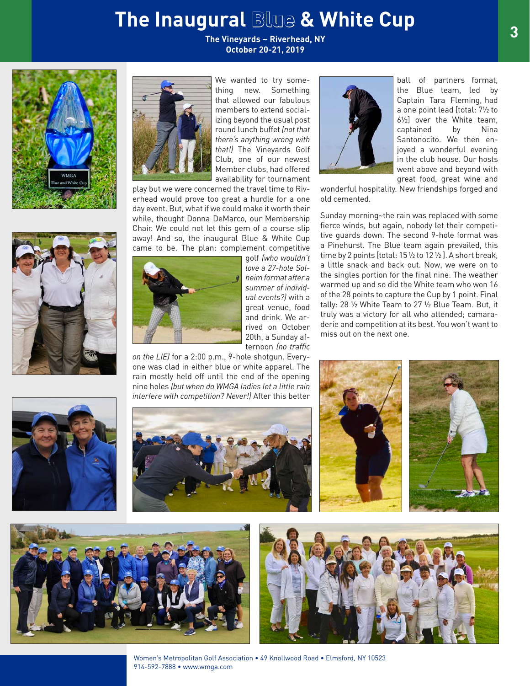# **The Inaugural Blue & White Cup**

**The Vineyards ~ Riverhead, NY October 20-21, 2019**







We wanted to try something new. Something that allowed our fabulous members to extend socializing beyond the usual post round lunch buffet *(not that there's anything wrong with that!)* The Vineyards Golf Club, one of our newest Member clubs, had offered availability for tournament

play but we were concerned the travel time to Riverhead would prove too great a hurdle for a one day event. But, what if we could make it worth their while, thought Donna DeMarco, our Membership Chair. We could not let this gem of a course slip away! And so, the inaugural Blue & White Cup came to be. The plan: complement competitive

> golf *(who wouldn't love a 27-hole Solheim format after a summer of individual events?)* with a great venue, food and drink. We arrived on October 20th, a Sunday afternoon *(no traffic*

*on the LIE)* for a 2:00 p.m., 9-hole shotgun. Everyone was clad in either blue or white apparel. The rain mostly held off until the end of the opening nine holes *(but when do WMGA ladies let a little rain interfere with competition? Never!)* After this better



ball of partners format, the Blue team, led by Captain Tara Fleming, had a one point lead [total: 7½ to 6½] over the White team, captained by Nina Santonocito. We then enjoyed a wonderful evening in the club house. Our hosts went above and beyond with great food, great wine and

wonderful hospitality. New friendships forged and old cemented.

Sunday morning~the rain was replaced with some fierce winds, but again, nobody let their competitive guards down. The second 9-hole format was a Pinehurst. The Blue team again prevailed, this time by 2 points [total: 15 ½ to 12 ½ ]. A short break, a little snack and back out. Now, we were on to the singles portion for the final nine. The weather warmed up and so did the White team who won 16 of the 28 points to capture the Cup by 1 point. Final tally: 28 ½ White Team to 27 ½ Blue Team. But, it truly was a victory for all who attended; camaraderie and competition at its best. You won't want to miss out on the next one.













Women's Metropolitan Golf Association • 49 Knollwood Road • Elmsford, NY 10523 914-592-7888 • www.wmga.com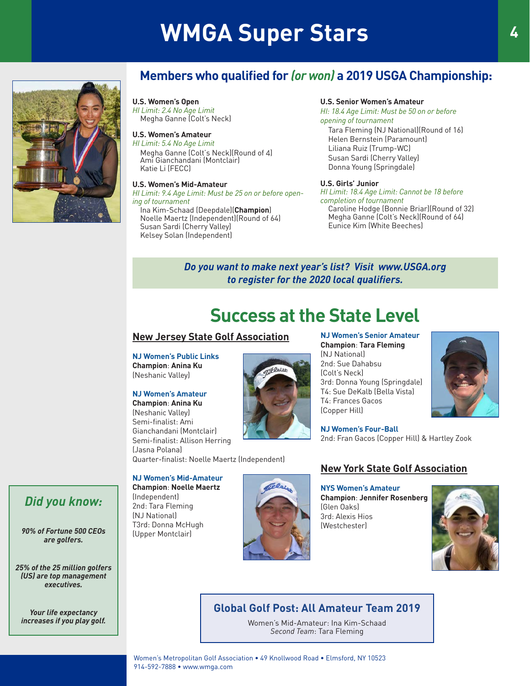# **WMGA Super Stars <sup>4</sup>**



## **Members who qualified for** *(or won)* **a 2019 USGA Championship:**

**U.S. Women's Open** *HI Limit: 2.4 No Age Limit* Megha Ganne (Colt's Neck)

#### **U.S. Women's Amateur**

*HI Limit: 5.4 No Age Limit* Megha Ganne (Colt's Neck)(Round of 4) Ami Gianchandani (Montclair) Katie Li (FECC)

#### **U.S. Women's Mid-Amateur**

*HI Limit: 9.4 Age Limit: Must be 25 on or before opening of tournament*

Ina Kim-Schaad (Deepdale)(**Champion**) Noelle Maertz (Independent)(Round of 64) Susan Sardi (Cherry Valley) Kelsey Solan (Independent)

#### **U.S. Senior Women's Amateur**

*HI: 18.4 Age Limit: Must be 50 on or before opening of tournament* Tara Fleming (NJ National)(Round of 16) Helen Bernstein (Paramount) Liliana Ruiz (Trump-WC) Susan Sardi (Cherry Valley) Donna Young (Springdale)

#### **U.S. Girls' Junior**

*HI Limit: 18.4 Age Limit: Cannot be 18 before completion of tournament* Caroline Hodge (Bonnie Briar)(Round of 32) Megha Ganne (Colt's Neck)(Round of 64) Eunice Kim (White Beeches)

#### *Do you want to make next year's list? Visit www.USGA.org to register for the 2020 local qualifiers.*

# **Success at the State Level**

#### **New Jersey State Golf Association**

**NJ Women's Public Links Champion**: **Anina Ku** (Neshanic Valley)

#### **NJ Women's Amateur**

**Champion**: **Anina Ku** (Neshanic Valley) Semi-finalist: Ami Gianchandani (Montclair) Semi-finalist: Allison Herring (Jasna Polana) Quarter-finalist: Noelle Maertz (Independent)

**NJ Women's Mid-Amateur**

**Champion**: **Noelle Maertz**

(Independent) 2nd: Tara Fleming (NJ National) T3rd: Donna McHugh (Upper Montclair)



**NJ Women's Senior Amateur Champion**: **Tara Fleming** (NJ National) 2nd: Sue Dahabsu (Colt's Neck) 3rd: Donna Young (Springdale) T4: Sue DeKalb (Bella Vista) T4: Frances Gacos (Copper Hill)

**NJ Women's Four-Ball** 2nd: Fran Gacos (Copper Hill) & Hartley Zook

#### **New York State Golf Association**

**NYS Women's Amateur Champion**: **Jennifer Rosenberg** (Glen Oaks) 3rd: Alexis Hios (Westchester)



### **Global Golf Post: All Amateur Team 2019**

Women's Mid-Amateur: Ina Kim-Schaad *Second Team*: Tara Fleming



Women's Metropolitan Golf Association • 49 Knollwood Road • Elmsford, NY 10523 914-592-7888 • www.wmga.com

### *Did you know:*

*90% of Fortune 500 CEOs are golfers.* 

*25% of the 25 million golfers (US) are top management executives.* 

*Your life expectancy increases if you play golf.*